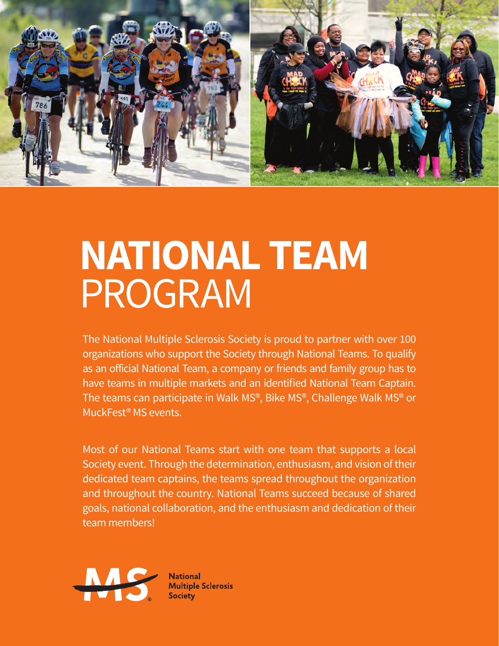

## **NATIONAL TEAM** PROGRAM

The National Multiple Sclerosis Society is proud to partner with over 100 organizations who support the Society through National Teams. To qualify as an official National Team, a company or friends and family group has to have teams in multiple markets and an identified National Team Captain. The teams can participate in Walk MS®, Bike MS®, Challenge Walk MS® or MuckFest® MS events.

Most of our National Teams start with one team that supports a local Society event. Through the determination, enthusiasm, and vision of their dedicated team captains, the teams spread throughout the organization and throughout the country. National Teams succeed because of shared goals, national collaboration, and the enthusiasm and dedication of their team members!



**National Multiple Sclerosis** Society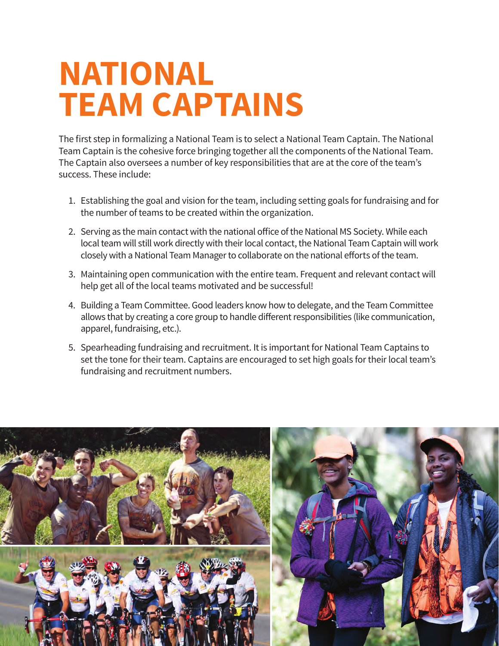## **NATIONAL TEAM CAPTAINS**

The first step in formalizing a National Team is to select a National Team Captain. The National Team Captain is the cohesive force bringing together all the components of the National Team. The Captain also oversees a number of key responsibilities that are at the core of the team's success. These include:

- 1. Establishing the goal and vision for the team, including setting goals for fundraising and for the number of teams to be created within the organization.
- 2. Serving as the main contact with the national office of the National MS Society. While each local team will still work directly with their local contact, the National Team Captain will work closely with a National Team Manager to collaborate on the national efforts of the team.
- 3. Maintaining open communication with the entire team. Frequent and relevant contact will help get all of the local teams motivated and be successful!
- 4. Building a Team Committee. Good leaders know how to delegate, and the Team Committee allows that by creating a core group to handle different responsibilities (like communication, apparel, fundraising, etc.).
- 5. Spearheading fundraising and recruitment. It is important for National Team Captains to set the tone for their team. Captains are encouraged to set high goals for their local team's fundraising and recruitment numbers.